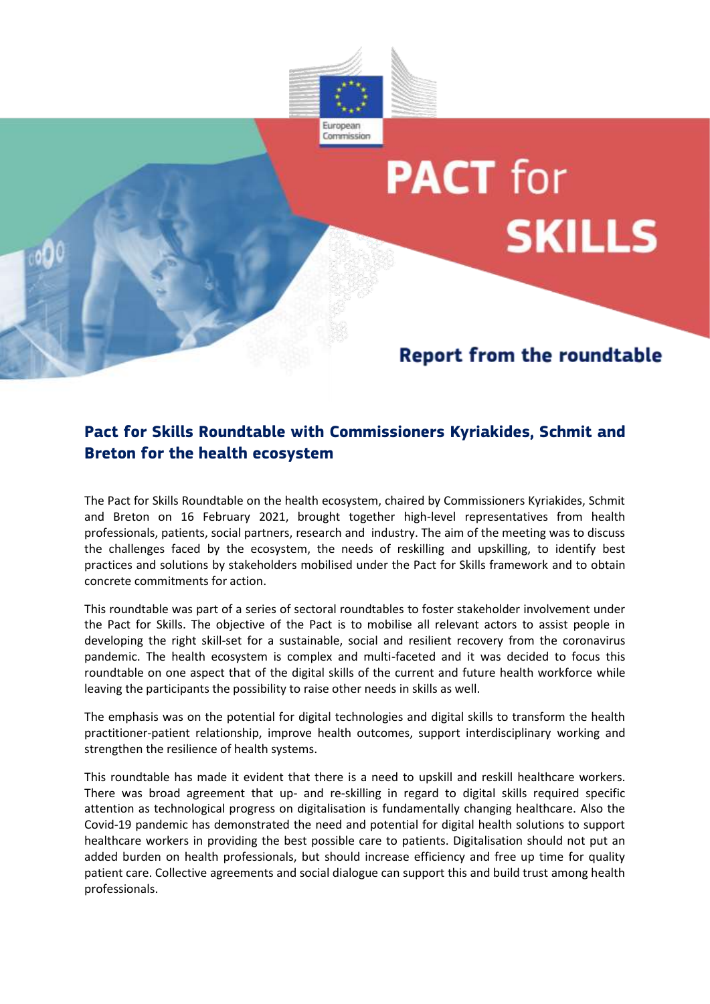

## **PACT** for **SKILLS**

## **Report from the roundtable**

## **Pact for Skills Roundtable with Commissioners Kyriakides, Schmit and Breton for the health ecosystem**

The Pact for Skills Roundtable on the health ecosystem, chaired by Commissioners Kyriakides, Schmit and Breton on 16 February 2021, brought together high-level representatives from health professionals, patients, social partners, research and industry. The aim of the meeting was to discuss the challenges faced by the ecosystem, the needs of reskilling and upskilling, to identify best practices and solutions by stakeholders mobilised under the Pact for Skills framework and to obtain concrete commitments for action.

This roundtable was part of a series of sectoral roundtables to foster stakeholder involvement under the Pact for Skills. The objective of the Pact is to mobilise all relevant actors to assist people in developing the right skill-set for a sustainable, social and resilient recovery from the coronavirus pandemic. The health ecosystem is complex and multi-faceted and it was decided to focus this roundtable on one aspect that of the digital skills of the current and future health workforce while leaving the participants the possibility to raise other needs in skills as well.

The emphasis was on the potential for digital technologies and digital skills to transform the health practitioner-patient relationship, improve health outcomes, support interdisciplinary working and strengthen the resilience of health systems.

This roundtable has made it evident that there is a need to upskill and reskill healthcare workers. There was broad agreement that up- and re-skilling in regard to digital skills required specific attention as technological progress on digitalisation is fundamentally changing healthcare. Also the Covid-19 pandemic has demonstrated the need and potential for digital health solutions to support healthcare workers in providing the best possible care to patients. Digitalisation should not put an added burden on health professionals, but should increase efficiency and free up time for quality patient care. Collective agreements and social dialogue can support this and build trust among health professionals.